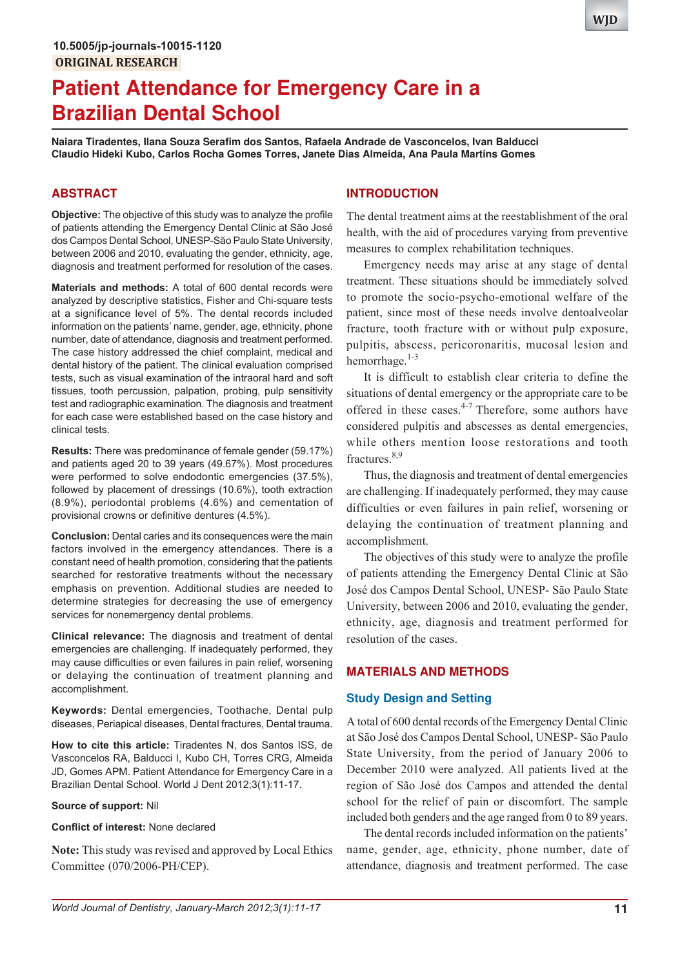# **Patient Attendance for Emergency Care in a Brazilian Dental School**

**Naiara Tiradentes, Ilana Souza Serafim dos Santos, Rafaela Andrade de Vasconcelos, Ivan Balducci Claudio Hideki Kubo, Carlos Rocha Gomes Torres, Janete Dias Almeida, Ana Paula Martins Gomes**

## **ABSTRACT**

**Objective:** The objective of this study was to analyze the profile of patients attending the Emergency Dental Clinic at São José dos Campos Dental School, UNESP-São Paulo State University, between 2006 and 2010, evaluating the gender, ethnicity, age, diagnosis and treatment performed for resolution of the cases.

**Materials and methods:** A total of 600 dental records were analyzed by descriptive statistics, Fisher and Chi-square tests at a significance level of 5%. The dental records included information on the patients' name, gender, age, ethnicity, phone number, date of attendance, diagnosis and treatment performed. The case history addressed the chief complaint, medical and dental history of the patient. The clinical evaluation comprised tests, such as visual examination of the intraoral hard and soft tissues, tooth percussion, palpation, probing, pulp sensitivity test and radiographic examination. The diagnosis and treatment for each case were established based on the case history and clinical tests.

**Results:** There was predominance of female gender (59.17%) and patients aged 20 to 39 years (49.67%). Most procedures were performed to solve endodontic emergencies (37.5%), followed by placement of dressings (10.6%), tooth extraction (8.9%), periodontal problems (4.6%) and cementation of provisional crowns or definitive dentures (4.5%).

**Conclusion:** Dental caries and its consequences were the main factors involved in the emergency attendances. There is a constant need of health promotion, considering that the patients searched for restorative treatments without the necessary emphasis on prevention. Additional studies are needed to determine strategies for decreasing the use of emergency services for nonemergency dental problems.

**Clinical relevance:** The diagnosis and treatment of dental emergencies are challenging. If inadequately performed, they may cause difficulties or even failures in pain relief, worsening or delaying the continuation of treatment planning and accomplishment.

**Keywords:** Dental emergencies, Toothache, Dental pulp diseases, Periapical diseases, Dental fractures, Dental trauma.

**How to cite this article:** Tiradentes N, dos Santos ISS, de Vasconcelos RA, Balducci I, Kubo CH, Torres CRG, Almeida JD, Gomes APM. Patient Attendance for Emergency Care in a Brazilian Dental School. World J Dent 2012;3(1):11-17.

#### **Source of support:** Nil

#### **Conflict of interest:** None declared

**Note:** This study was revised and approved by Local Ethics Committee (070/2006-PH/CEP).

#### **INTRODUCTION**

The dental treatment aims at the reestablishment of the oral health, with the aid of procedures varying from preventive measures to complex rehabilitation techniques.

Emergency needs may arise at any stage of dental treatment. These situations should be immediately solved to promote the socio-psycho-emotional welfare of the patient, since most of these needs involve dentoalveolar fracture, tooth fracture with or without pulp exposure, pulpitis, abscess, pericoronaritis, mucosal lesion and hemorrhage.<sup>1-3</sup>

It is difficult to establish clear criteria to define the situations of dental emergency or the appropriate care to be offered in these cases.<sup>4-7</sup> Therefore, some authors have considered pulpitis and abscesses as dental emergencies, while others mention loose restorations and tooth fractures.8,9

Thus, the diagnosis and treatment of dental emergencies are challenging. If inadequately performed, they may cause difficulties or even failures in pain relief, worsening or delaying the continuation of treatment planning and accomplishment.

The objectives of this study were to analyze the profile of patients attending the Emergency Dental Clinic at São José dos Campos Dental School, UNESP- São Paulo State University, between 2006 and 2010, evaluating the gender, ethnicity, age, diagnosis and treatment performed for resolution of the cases.

## **MATERIALS AND METHODS**

## **Study Design and Setting**

A total of 600 dental records of the Emergency Dental Clinic at São José dos Campos Dental School, UNESP- São Paulo State University, from the period of January 2006 to December 2010 were analyzed. All patients lived at the region of São José dos Campos and attended the dental school for the relief of pain or discomfort. The sample included both genders and the age ranged from 0 to 89 years.

The dental records included information on the patients' name, gender, age, ethnicity, phone number, date of attendance, diagnosis and treatment performed. The case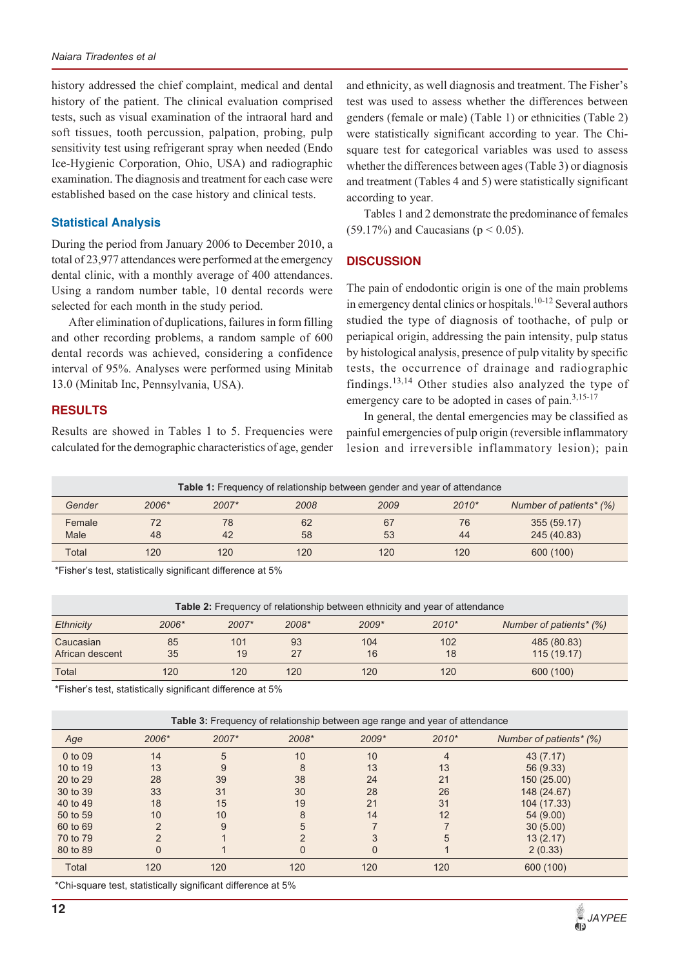history addressed the chief complaint, medical and dental history of the patient. The clinical evaluation comprised tests, such as visual examination of the intraoral hard and soft tissues, tooth percussion, palpation, probing, pulp sensitivity test using refrigerant spray when needed (Endo Ice-Hygienic Corporation, Ohio, USA) and radiographic examination. The diagnosis and treatment for each case were established based on the case history and clinical tests.

## **Statistical Analysis**

During the period from January 2006 to December 2010, a total of 23,977 attendances were performed at the emergency dental clinic, with a monthly average of 400 attendances. Using a random number table, 10 dental records were selected for each month in the study period.

After elimination of duplications, failures in form filling and other recording problems, a random sample of 600 dental records was achieved, considering a confidence interval of 95%. Analyses were performed using Minitab 13.0 (Minitab Inc, Pennsylvania, USA).

## **RESULTS**

Results are showed in Tables 1 to 5. Frequencies were calculated for the demographic characteristics of age, gender and ethnicity, as well diagnosis and treatment. The Fisher's test was used to assess whether the differences between genders (female or male) (Table 1) or ethnicities (Table 2) were statistically significant according to year. The Chisquare test for categorical variables was used to assess whether the differences between ages (Table 3) or diagnosis and treatment (Tables 4 and 5) were statistically significant according to year.

Tables 1 and 2 demonstrate the predominance of females (59.17%) and Caucasians ( $p < 0.05$ ).

## **DISCUSSION**

The pain of endodontic origin is one of the main problems in emergency dental clinics or hospitals.<sup>10-12</sup> Several authors studied the type of diagnosis of toothache, of pulp or periapical origin, addressing the pain intensity, pulp status by histological analysis, presence of pulp vitality by specific tests, the occurrence of drainage and radiographic findings.<sup>13,14</sup> Other studies also analyzed the type of emergency care to be adopted in cases of pain.<sup>3,15-17</sup>

In general, the dental emergencies may be classified as painful emergencies of pulp origin (reversible inflammatory lesion and irreversible inflammatory lesion); pain

|        |       |       | Table 1: Frequency of relationship between gender and year of attendance |      |         |                         |
|--------|-------|-------|--------------------------------------------------------------------------|------|---------|-------------------------|
| Gender | 2006* | 2007* | 2008                                                                     | 2009 | $2010*$ | Number of patients* (%) |
| Female | 72    | 78    | 62                                                                       | 67   | 76      | 355 (59.17)             |
| Male   | 48    | 42    | 58                                                                       | 53   | 44      | 245 (40.83)             |
| Total  | 120   | 120   | 120                                                                      | 120  | 120     | 600 (100)               |

\*Fisher's test, statistically significant difference at 5%

| <b>Table 2:</b> Frequency of relationship between ethnicity and year of attendance |                                                                          |           |          |           |           |                            |  |  |  |
|------------------------------------------------------------------------------------|--------------------------------------------------------------------------|-----------|----------|-----------|-----------|----------------------------|--|--|--|
| <b>Ethnicity</b>                                                                   | 2006*<br>2007*<br>2008*<br>$2009*$<br>$2010*$<br>Number of patients* (%) |           |          |           |           |                            |  |  |  |
| Caucasian<br>African descent                                                       | 85<br>35                                                                 | 101<br>19 | 93<br>27 | 104<br>16 | 102<br>18 | 485 (80.83)<br>115 (19.17) |  |  |  |
| Total                                                                              | 120                                                                      | 120       | 120      | 120       | 120       | 600 (100)                  |  |  |  |

\*Fisher's test, statistically significant difference at 5%

| Table 3: Frequency of relationship between age range and year of attendance |               |       |               |       |         |                         |  |  |
|-----------------------------------------------------------------------------|---------------|-------|---------------|-------|---------|-------------------------|--|--|
| Age                                                                         | 2006*         | 2007* | 2008*         | 2009* | $2010*$ | Number of patients* (%) |  |  |
| 0 to 09                                                                     | 14            | 5     | 10            | 10    | 4       | 43(7.17)                |  |  |
| 10 to 19                                                                    | 13            | 9     | 8             | 13    | 13      | 56 (9.33)               |  |  |
| 20 to 29                                                                    | 28            | 39    | 38            | 24    | 21      | 150 (25.00)             |  |  |
| 30 to 39                                                                    | 33            | 31    | 30            | 28    | 26      | 148 (24.67)             |  |  |
| 40 to 49                                                                    | 18            | 15    | 19            | 21    | 31      | 104 (17.33)             |  |  |
| 50 to 59                                                                    | 10            | 10    | 8             | 14    | 12      | 54 (9.00)               |  |  |
| 60 to 69                                                                    | $\mathcal{P}$ | 9     | 5             |       |         | 30(5.00)                |  |  |
| 70 to 79                                                                    |               |       | $\mathcal{D}$ |       | 5       | 13(2.17)                |  |  |
| 80 to 89                                                                    | $\Omega$      |       | 0             | 0     |         | 2(0.33)                 |  |  |
| Total                                                                       | 120           | 120   | 120           | 120   | 120     | 600 (100)               |  |  |
|                                                                             |               |       |               |       |         |                         |  |  |

\*Chi-square test, statistically significant difference at 5%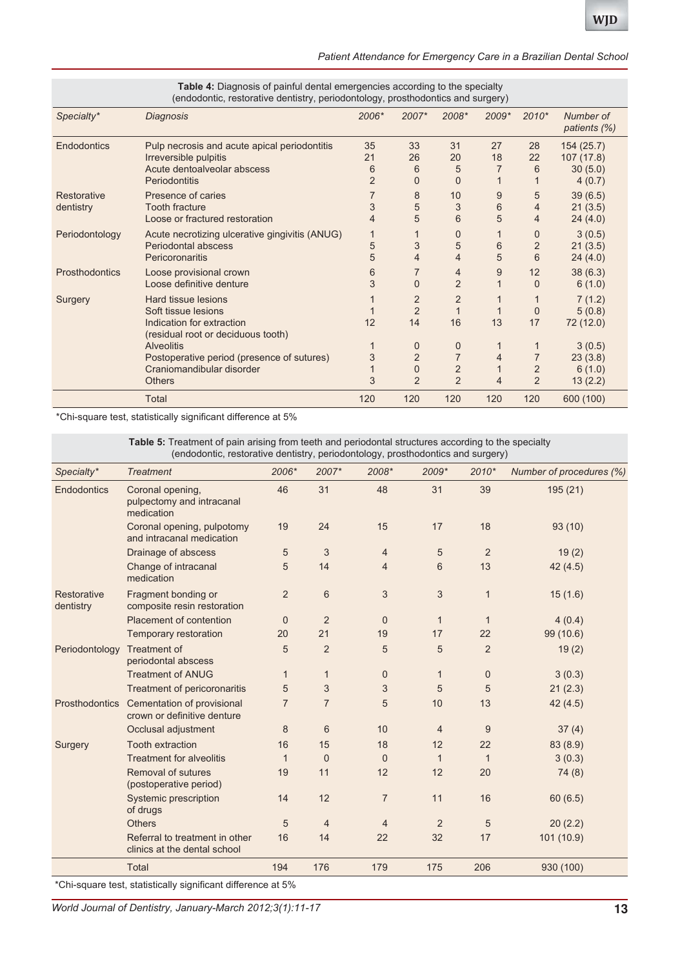| Patient Attendance for Emergency Care in a Brazilian Dental School |  |  |  |
|--------------------------------------------------------------------|--|--|--|
|--------------------------------------------------------------------|--|--|--|

|                | Table 4: Diagnosis of painful dental emergencies according to the specialty<br>(endodontic, restorative dentistry, periodontology, prosthodontics and surgery) |                |                |                |         |                |                           |
|----------------|----------------------------------------------------------------------------------------------------------------------------------------------------------------|----------------|----------------|----------------|---------|----------------|---------------------------|
| Specialty*     | Diagnosis                                                                                                                                                      | $2006*$        | 2007*          | $2008*$        | $2009*$ | $2010*$        | Number of<br>patients (%) |
| Endodontics    | Pulp necrosis and acute apical periodontitis                                                                                                                   | 35             | 33             | 31             | 27      | 28             | 154(25.7)                 |
|                | Irreversible pulpitis                                                                                                                                          | 21             | 26             | 20             | 18      | 22             | 107(17.8)                 |
|                | Acute dentoalveolar abscess                                                                                                                                    | 6              | 6              | 5              |         | 6              | 30(5.0)                   |
|                | Periodontitis                                                                                                                                                  | $\overline{2}$ | $\Omega$       | $\mathbf{0}$   |         |                | 4(0.7)                    |
| Restorative    | Presence of caries                                                                                                                                             |                | 8              | 10             | 9       | 5              | 39(6.5)                   |
| dentistry      | <b>Tooth fracture</b>                                                                                                                                          | 3              | 5              | 3              | 6       | 4              | 21(3.5)                   |
|                | Loose or fractured restoration                                                                                                                                 | 4              | 5              | 6              | 5       | 4              | 24(4.0)                   |
| Periodontology | Acute necrotizing ulcerative gingivitis (ANUG)                                                                                                                 | 1              |                | $\mathbf{0}$   |         | 0              | 3(0.5)                    |
|                | Periodontal abscess                                                                                                                                            | 5              | 3              | 5              | 6       | $\overline{2}$ | 21(3.5)                   |
|                | Pericoronaritis                                                                                                                                                | 5              | 4              | 4              | 5       | 6              | 24(4.0)                   |
| Prosthodontics | Loose provisional crown                                                                                                                                        | 6              | 7              | 4              | 9       | 12             | 38(6.3)                   |
|                | Loose definitive denture                                                                                                                                       | 3              | $\Omega$       | $\overline{2}$ |         | $\Omega$       | 6(1.0)                    |
| Surgery        | Hard tissue lesions                                                                                                                                            |                | $\overline{2}$ | $\overline{2}$ |         |                | 7(1.2)                    |
|                | Soft tissue lesions                                                                                                                                            |                | $\overline{2}$ | 1              |         | 0              | 5(0.8)                    |
|                | Indication for extraction                                                                                                                                      | 12             | 14             | 16             | 13      | 17             | 72 (12.0)                 |
|                | (residual root or deciduous tooth)                                                                                                                             |                |                |                |         |                |                           |
|                | <b>Alveolitis</b>                                                                                                                                              |                | 0              | 0              |         | 1              | 3(0.5)                    |
|                | Postoperative period (presence of sutures)                                                                                                                     | 3              | $\overline{2}$ | $\overline{7}$ | 4       | 7              | 23(3.8)                   |
|                | Craniomandibular disorder                                                                                                                                      |                | $\Omega$       | $\overline{2}$ |         | $\overline{2}$ | 6(1.0)                    |
|                | <b>Others</b>                                                                                                                                                  | 3              | $\overline{2}$ | $\overline{2}$ | 4       | $\overline{2}$ | 13(2.2)                   |
|                | <b>Total</b>                                                                                                                                                   | 120            | 120            | 120            | 120     | 120            | 600 (100)                 |

\*Chi-square test, statistically significant difference at 5%

**Table 5:** Treatment of pain arising from teeth and periodontal structures according to the specialty (endodontic, restorative dentistry, periodontology, prosthodontics and surgery)

| Specialty*               | <b>Treatment</b>                                               | 2006*          | 2007*          | 2008*          | 2009*          | $2010*$        | Number of procedures (%) |
|--------------------------|----------------------------------------------------------------|----------------|----------------|----------------|----------------|----------------|--------------------------|
| Endodontics              | Coronal opening,<br>pulpectomy and intracanal<br>medication    | 46             | 31             | 48             | 31             | 39             | 195 (21)                 |
|                          | Coronal opening, pulpotomy<br>and intracanal medication        | 19             | 24             | 15             | 17             | 18             | 93(10)                   |
|                          | Drainage of abscess                                            | 5              | 3              | 4              | 5              | $\overline{2}$ | 19(2)                    |
|                          | Change of intracanal<br>medication                             | 5              | 14             | $\overline{4}$ | 6              | 13             | 42(4.5)                  |
| Restorative<br>dentistry | Fragment bonding or<br>composite resin restoration             | $\overline{2}$ | 6              | $\sqrt{3}$     | $\sqrt{3}$     | $\mathbf{1}$   | 15(1.6)                  |
|                          | Placement of contention                                        | $\mathbf{0}$   | $\overline{2}$ | $\mathbf{0}$   | $\mathbf{1}$   | $\mathbf{1}$   | 4(0.4)                   |
|                          | Temporary restoration                                          | 20             | 21             | 19             | 17             | 22             | 99 (10.6)                |
| Periodontology           | Treatment of<br>periodontal abscess                            | 5              | $\overline{2}$ | 5              | 5              | $\overline{2}$ | 19(2)                    |
|                          | <b>Treatment of ANUG</b>                                       | $\mathbf{1}$   | $\mathbf{1}$   | $\mathbf 0$    | $\mathbf{1}$   | $\mathbf 0$    | 3(0.3)                   |
|                          | Treatment of pericoronaritis                                   | 5              | 3              | 3              | 5              | 5              | 21(2.3)                  |
| Prosthodontics           | Cementation of provisional<br>crown or definitive denture      | 7              | $\overline{7}$ | 5              | 10             | 13             | 42 (4.5)                 |
|                          | Occlusal adjustment                                            | 8              | 6              | 10             | $\overline{4}$ | 9              | 37(4)                    |
| Surgery                  | <b>Tooth extraction</b>                                        | 16             | 15             | 18             | 12             | 22             | 83 (8.9)                 |
|                          | <b>Treatment for alveolitis</b>                                | $\mathbf{1}$   | $\mathbf{0}$   | $\mathbf{0}$   | $\mathbf{1}$   | $\mathbf{1}$   | 3(0.3)                   |
|                          | Removal of sutures<br>(postoperative period)                   | 19             | 11             | 12             | 12             | 20             | 74(8)                    |
|                          | Systemic prescription<br>of drugs                              | 14             | 12             | $\overline{7}$ | 11             | 16             | 60(6.5)                  |
|                          | <b>Others</b>                                                  | 5              | $\overline{4}$ | 4              | $\overline{2}$ | 5              | 20(2.2)                  |
|                          | Referral to treatment in other<br>clinics at the dental school | 16             | 14             | 22             | 32             | 17             | 101 (10.9)               |
|                          | <b>Total</b>                                                   | 194            | 176            | 179            | 175            | 206            | 930 (100)                |

\*Chi-square test, statistically significant difference at 5%

*World Journal of Dentistry, January-March 2012;3(1):11-17* **13**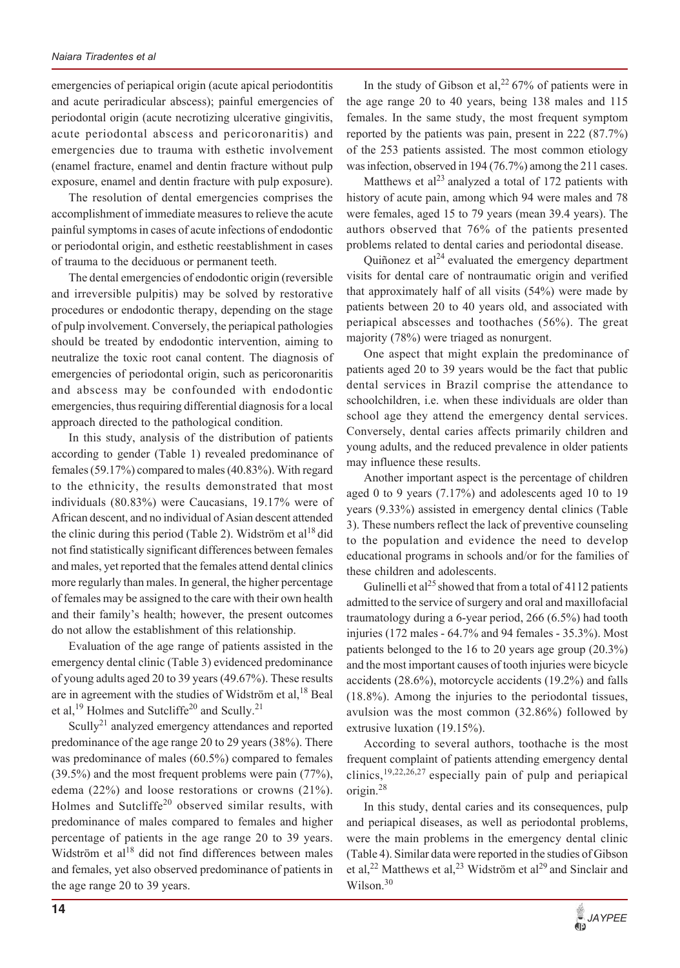emergencies of periapical origin (acute apical periodontitis and acute periradicular abscess); painful emergencies of periodontal origin (acute necrotizing ulcerative gingivitis, acute periodontal abscess and pericoronaritis) and emergencies due to trauma with esthetic involvement (enamel fracture, enamel and dentin fracture without pulp exposure, enamel and dentin fracture with pulp exposure).

The resolution of dental emergencies comprises the accomplishment of immediate measures to relieve the acute painful symptoms in cases of acute infections of endodontic or periodontal origin, and esthetic reestablishment in cases of trauma to the deciduous or permanent teeth.

The dental emergencies of endodontic origin (reversible and irreversible pulpitis) may be solved by restorative procedures or endodontic therapy, depending on the stage of pulp involvement. Conversely, the periapical pathologies should be treated by endodontic intervention, aiming to neutralize the toxic root canal content. The diagnosis of emergencies of periodontal origin, such as pericoronaritis and abscess may be confounded with endodontic emergencies, thus requiring differential diagnosis for a local approach directed to the pathological condition.

In this study, analysis of the distribution of patients according to gender (Table 1) revealed predominance of females (59.17%) compared to males (40.83%). With regard to the ethnicity, the results demonstrated that most individuals (80.83%) were Caucasians, 19.17% were of African descent, and no individual of Asian descent attended the clinic during this period (Table 2). Widström et al<sup>18</sup> did not find statistically significant differences between females and males, yet reported that the females attend dental clinics more regularly than males. In general, the higher percentage of females may be assigned to the care with their own health and their family's health; however, the present outcomes do not allow the establishment of this relationship.

Evaluation of the age range of patients assisted in the emergency dental clinic (Table 3) evidenced predominance of young adults aged 20 to 39 years (49.67%). These results are in agreement with the studies of Widström et al,  $^{18}$  Beal et al,<sup>19</sup> Holmes and Sutcliffe<sup>20</sup> and Scully.<sup>21</sup>

Scully<sup>21</sup> analyzed emergency attendances and reported predominance of the age range 20 to 29 years (38%). There was predominance of males (60.5%) compared to females (39.5%) and the most frequent problems were pain (77%), edema (22%) and loose restorations or crowns (21%). Holmes and Sutcliffe<sup>20</sup> observed similar results, with predominance of males compared to females and higher percentage of patients in the age range 20 to 39 years. Widström et al<sup>18</sup> did not find differences between males and females, yet also observed predominance of patients in the age range 20 to 39 years.

In the study of Gibson et al,  $2^{2}$  67% of patients were in the age range 20 to 40 years, being 138 males and 115 females. In the same study, the most frequent symptom reported by the patients was pain, present in 222 (87.7%) of the 253 patients assisted. The most common etiology was infection, observed in 194 (76.7%) among the 211 cases.

Matthews et al<sup>23</sup> analyzed a total of 172 patients with history of acute pain, among which 94 were males and 78 were females, aged 15 to 79 years (mean 39.4 years). The authors observed that 76% of the patients presented problems related to dental caries and periodontal disease.

Quiñonez et  $al^{24}$  evaluated the emergency department visits for dental care of nontraumatic origin and verified that approximately half of all visits (54%) were made by patients between 20 to 40 years old, and associated with periapical abscesses and toothaches (56%). The great majority (78%) were triaged as nonurgent.

One aspect that might explain the predominance of patients aged 20 to 39 years would be the fact that public dental services in Brazil comprise the attendance to schoolchildren, i.e. when these individuals are older than school age they attend the emergency dental services. Conversely, dental caries affects primarily children and young adults, and the reduced prevalence in older patients may influence these results.

Another important aspect is the percentage of children aged 0 to 9 years (7.17%) and adolescents aged 10 to 19 years (9.33%) assisted in emergency dental clinics (Table 3). These numbers reflect the lack of preventive counseling to the population and evidence the need to develop educational programs in schools and/or for the families of these children and adolescents.

Gulinelli et al<sup>25</sup> showed that from a total of 4112 patients admitted to the service of surgery and oral and maxillofacial traumatology during a 6-year period, 266 (6.5%) had tooth injuries (172 males - 64.7% and 94 females - 35.3%). Most patients belonged to the 16 to 20 years age group (20.3%) and the most important causes of tooth injuries were bicycle accidents (28.6%), motorcycle accidents (19.2%) and falls (18.8%). Among the injuries to the periodontal tissues, avulsion was the most common (32.86%) followed by extrusive luxation (19.15%).

According to several authors, toothache is the most frequent complaint of patients attending emergency dental clinics,19,22,26,27 especially pain of pulp and periapical origin.<sup>28</sup>

In this study, dental caries and its consequences, pulp and periapical diseases, as well as periodontal problems, were the main problems in the emergency dental clinic (Table 4). Similar data were reported in the studies of Gibson et al,<sup>22</sup> Matthews et al,<sup>23</sup> Widström et al<sup>29</sup> and Sinclair and Wilson.<sup>30</sup>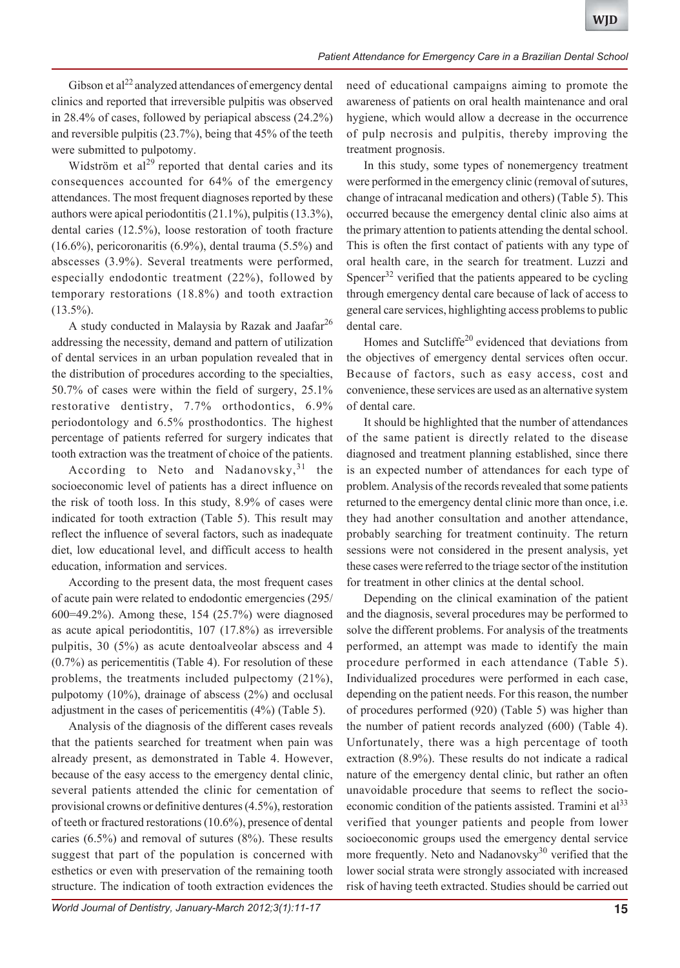Gibson et al<sup>22</sup> analyzed attendances of emergency dental clinics and reported that irreversible pulpitis was observed in 28.4% of cases, followed by periapical abscess (24.2%) and reversible pulpitis (23.7%), being that 45% of the teeth were submitted to pulpotomy.

Widström et  $al^{29}$  reported that dental caries and its consequences accounted for 64% of the emergency attendances. The most frequent diagnoses reported by these authors were apical periodontitis (21.1%), pulpitis (13.3%), dental caries (12.5%), loose restoration of tooth fracture (16.6%), pericoronaritis (6.9%), dental trauma (5.5%) and abscesses (3.9%). Several treatments were performed, especially endodontic treatment (22%), followed by temporary restorations (18.8%) and tooth extraction  $(13.5\%)$ .

A study conducted in Malaysia by Razak and Jaafar<sup>26</sup> addressing the necessity, demand and pattern of utilization of dental services in an urban population revealed that in the distribution of procedures according to the specialties, 50.7% of cases were within the field of surgery, 25.1% restorative dentistry, 7.7% orthodontics, 6.9% periodontology and 6.5% prosthodontics. The highest percentage of patients referred for surgery indicates that tooth extraction was the treatment of choice of the patients.

According to Neto and Nadanovsky,  $31$  the socioeconomic level of patients has a direct influence on the risk of tooth loss. In this study, 8.9% of cases were indicated for tooth extraction (Table 5). This result may reflect the influence of several factors, such as inadequate diet, low educational level, and difficult access to health education, information and services.

According to the present data, the most frequent cases of acute pain were related to endodontic emergencies (295/ 600=49.2%). Among these, 154 (25.7%) were diagnosed as acute apical periodontitis, 107 (17.8%) as irreversible pulpitis, 30 (5%) as acute dentoalveolar abscess and 4 (0.7%) as pericementitis (Table 4). For resolution of these problems, the treatments included pulpectomy (21%), pulpotomy (10%), drainage of abscess (2%) and occlusal adjustment in the cases of pericementitis (4%) (Table 5).

Analysis of the diagnosis of the different cases reveals that the patients searched for treatment when pain was already present, as demonstrated in Table 4. However, because of the easy access to the emergency dental clinic, several patients attended the clinic for cementation of provisional crowns or definitive dentures (4.5%), restoration of teeth or fractured restorations (10.6%), presence of dental caries (6.5%) and removal of sutures (8%). These results suggest that part of the population is concerned with esthetics or even with preservation of the remaining tooth structure. The indication of tooth extraction evidences the

need of educational campaigns aiming to promote the awareness of patients on oral health maintenance and oral hygiene, which would allow a decrease in the occurrence of pulp necrosis and pulpitis, thereby improving the treatment prognosis.

In this study, some types of nonemergency treatment were performed in the emergency clinic (removal of sutures, change of intracanal medication and others) (Table 5). This occurred because the emergency dental clinic also aims at the primary attention to patients attending the dental school. This is often the first contact of patients with any type of oral health care, in the search for treatment. Luzzi and Spencer<sup>32</sup> verified that the patients appeared to be cycling through emergency dental care because of lack of access to general care services, highlighting access problems to public dental care.

Homes and Sutcliffe<sup>20</sup> evidenced that deviations from the objectives of emergency dental services often occur. Because of factors, such as easy access, cost and convenience, these services are used as an alternative system of dental care.

It should be highlighted that the number of attendances of the same patient is directly related to the disease diagnosed and treatment planning established, since there is an expected number of attendances for each type of problem. Analysis of the records revealed that some patients returned to the emergency dental clinic more than once, i.e. they had another consultation and another attendance, probably searching for treatment continuity. The return sessions were not considered in the present analysis, yet these cases were referred to the triage sector of the institution for treatment in other clinics at the dental school.

Depending on the clinical examination of the patient and the diagnosis, several procedures may be performed to solve the different problems. For analysis of the treatments performed, an attempt was made to identify the main procedure performed in each attendance (Table 5). Individualized procedures were performed in each case, depending on the patient needs. For this reason, the number of procedures performed (920) (Table 5) was higher than the number of patient records analyzed (600) (Table 4). Unfortunately, there was a high percentage of tooth extraction (8.9%). These results do not indicate a radical nature of the emergency dental clinic, but rather an often unavoidable procedure that seems to reflect the socioeconomic condition of the patients assisted. Tramini et  $al<sup>33</sup>$ verified that younger patients and people from lower socioeconomic groups used the emergency dental service more frequently. Neto and Nadanovsky<sup>30</sup> verified that the lower social strata were strongly associated with increased risk of having teeth extracted. Studies should be carried out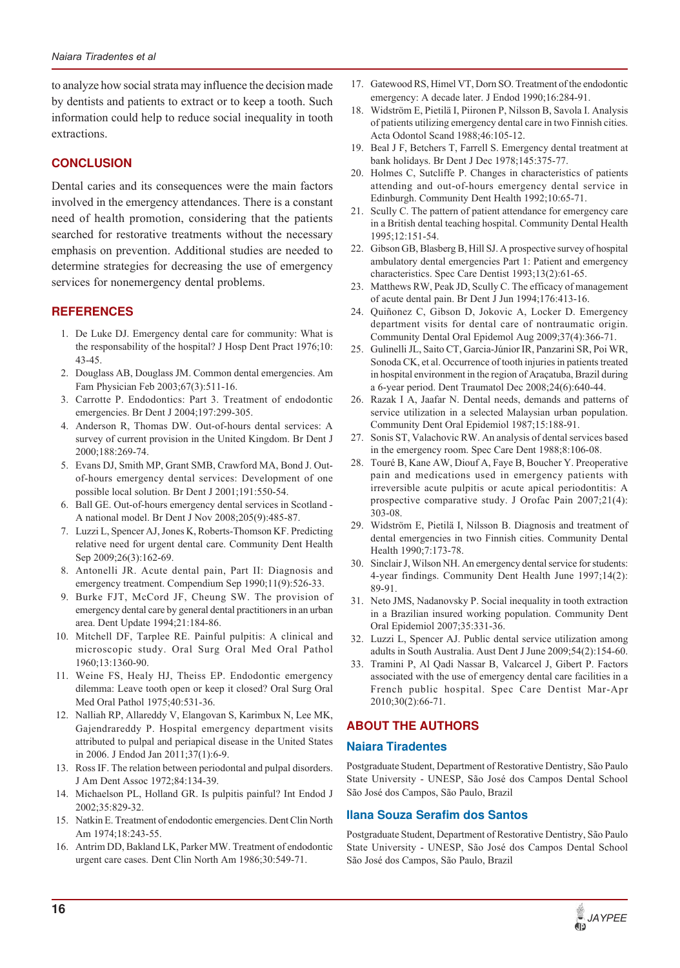to analyze how social strata may influence the decision made by dentists and patients to extract or to keep a tooth. Such information could help to reduce social inequality in tooth extractions.

## **CONCLUSION**

Dental caries and its consequences were the main factors involved in the emergency attendances. There is a constant need of health promotion, considering that the patients searched for restorative treatments without the necessary emphasis on prevention. Additional studies are needed to determine strategies for decreasing the use of emergency services for nonemergency dental problems.

## **REFERENCES**

- 1. De Luke DJ. Emergency dental care for community: What is the responsability of the hospital? J Hosp Dent Pract 1976;10: 43-45.
- 2. Douglass AB, Douglass JM. Common dental emergencies. Am Fam Physician Feb 2003;67(3):511-16.
- 3. Carrotte P. Endodontics: Part 3. Treatment of endodontic emergencies. Br Dent J 2004;197:299-305.
- 4. Anderson R, Thomas DW. Out-of-hours dental services: A survey of current provision in the United Kingdom. Br Dent J 2000;188:269-74.
- 5. Evans DJ, Smith MP, Grant SMB, Crawford MA, Bond J. Outof-hours emergency dental services: Development of one possible local solution. Br Dent J 2001;191:550-54.
- 6. Ball GE. Out-of-hours emergency dental services in Scotland A national model. Br Dent J Nov 2008;205(9):485-87.
- 7. Luzzi L, Spencer AJ, Jones K, Roberts-Thomson KF. Predicting relative need for urgent dental care. Community Dent Health Sep 2009;26(3):162-69.
- 8. Antonelli JR. Acute dental pain, Part II: Diagnosis and emergency treatment. Compendium Sep 1990;11(9):526-33.
- 9. Burke FJT, McCord JF, Cheung SW. The provision of emergency dental care by general dental practitioners in an urban area. Dent Update 1994;21:184-86.
- 10. Mitchell DF, Tarplee RE. Painful pulpitis: A clinical and microscopic study. Oral Surg Oral Med Oral Pathol 1960;13:1360-90.
- 11. Weine FS, Healy HJ, Theiss EP. Endodontic emergency dilemma: Leave tooth open or keep it closed? Oral Surg Oral Med Oral Pathol 1975;40:531-36.
- 12. Nalliah RP, Allareddy V, Elangovan S, Karimbux N, Lee MK, Gajendrareddy P. Hospital emergency department visits attributed to pulpal and periapical disease in the United States in 2006. J Endod Jan 2011;37(1):6-9.
- 13. Ross IF. The relation between periodontal and pulpal disorders. J Am Dent Assoc 1972;84:134-39.
- 14. Michaelson PL, Holland GR. Is pulpitis painful? Int Endod J 2002;35:829-32.
- 15. Natkin E. Treatment of endodontic emergencies. Dent Clin North Am 1974;18:243-55.
- 16. Antrim DD, Bakland LK, Parker MW. Treatment of endodontic urgent care cases. Dent Clin North Am 1986;30:549-71.
- 17. Gatewood RS, Himel VT, Dorn SO. Treatment of the endodontic emergency: A decade later. J Endod 1990;16:284-91.
- 18. Widström E, Pietilä I, Piironen P, Nilsson B, Savola I. Analysis of patients utilizing emergency dental care in two Finnish cities. Acta Odontol Scand 1988;46:105-12.
- 19. Beal J F, Betchers T, Farrell S. Emergency dental treatment at bank holidays. Br Dent J Dec 1978;145:375-77.
- 20. Holmes C, Sutcliffe P. Changes in characteristics of patients attending and out-of-hours emergency dental service in Edinburgh. Community Dent Health 1992;10:65-71.
- 21. Scully C. The pattern of patient attendance for emergency care in a British dental teaching hospital. Community Dental Health 1995;12:151-54.
- 22. Gibson GB, Blasberg B, Hill SJ. A prospective survey of hospital ambulatory dental emergencies Part 1: Patient and emergency characteristics. Spec Care Dentist 1993;13(2):61-65.
- 23. Matthews RW, Peak JD, Scully C. The efficacy of management of acute dental pain. Br Dent J Jun 1994;176:413-16.
- 24. Quiñonez C, Gibson D, Jokovic A, Locker D. Emergency department visits for dental care of nontraumatic origin. Community Dental Oral Epidemol Aug 2009;37(4):366-71.
- 25. Gulinelli JL, Saito CT, Garcia-Júnior IR, Panzarini SR, Poi WR, Sonoda CK, et al. Occurrence of tooth injuries in patients treated in hospital environment in the region of Araçatuba, Brazil during a 6-year period. Dent Traumatol Dec 2008;24(6):640-44.
- 26. Razak I A, Jaafar N. Dental needs, demands and patterns of service utilization in a selected Malaysian urban population. Community Dent Oral Epidemiol 1987;15:188-91.
- 27. Sonis ST, Valachovic RW. An analysis of dental services based in the emergency room. Spec Care Dent 1988;8:106-08.
- 28. Touré B, Kane AW, Diouf A, Faye B, Boucher Y. Preoperative pain and medications used in emergency patients with irreversible acute pulpitis or acute apical periodontitis: A prospective comparative study. J Orofac Pain 2007;21(4): 303-08.
- 29. Widström E, Pietilä I, Nilsson B. Diagnosis and treatment of dental emergencies in two Finnish cities. Community Dental Health 1990;7:173-78.
- 30. Sinclair J, Wilson NH. An emergency dental service for students: 4-year findings. Community Dent Health June 1997;14(2): 89-91.
- 31. Neto JMS, Nadanovsky P. Social inequality in tooth extraction in a Brazilian insured working population. Community Dent Oral Epidemiol 2007;35:331-36.
- 32. Luzzi L, Spencer AJ. Public dental service utilization among adults in South Australia. Aust Dent J June 2009;54(2):154-60.
- 33. Tramini P, Al Qadi Nassar B, Valcarcel J, Gibert P. Factors associated with the use of emergency dental care facilities in a French public hospital. Spec Care Dentist Mar-Apr 2010;30(2):66-71.

## **ABOUT THE AUTHORS**

## **Naiara Tiradentes**

Postgraduate Student, Department of Restorative Dentistry, São Paulo State University - UNESP, São José dos Campos Dental School São José dos Campos, São Paulo, Brazil

## **Ilana Souza Serafim dos Santos**

Postgraduate Student, Department of Restorative Dentistry, São Paulo State University - UNESP, São José dos Campos Dental School São José dos Campos, São Paulo, Brazil